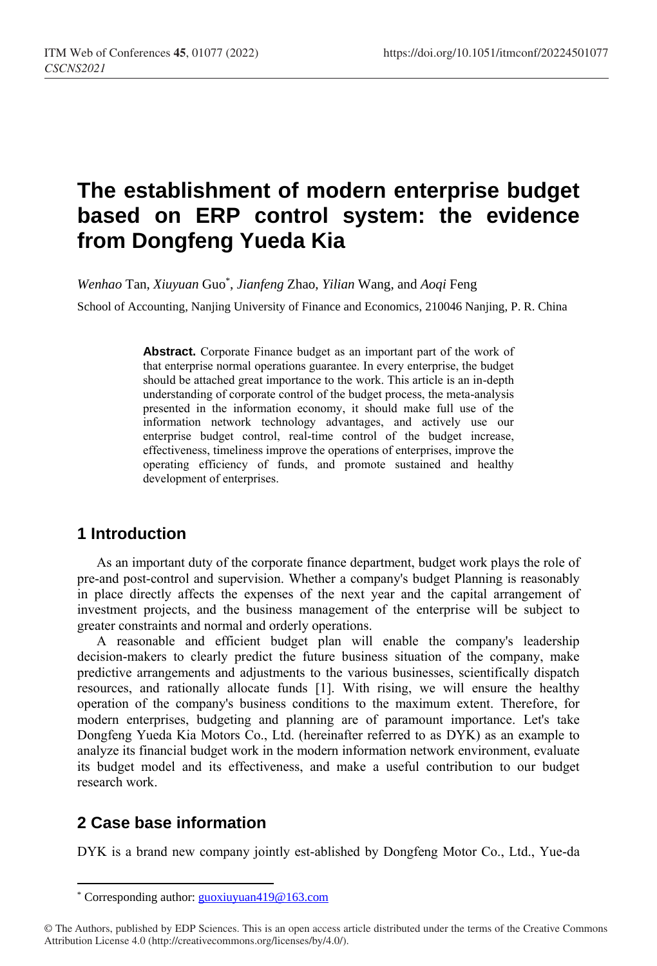# **The establishment of modern enterprise budget based on ERP control system: the evidence from Dongfeng Yueda Kia**

*Wenhao* Tan, *Xiuyuan* Guo\* , *Jianfeng* Zhao, *Yilian* Wang, and *Aoqi* Feng

School of Accounting, Nanjing University of Finance and Economics, 210046 Nanjing, P. R. China

**Abstract.** Corporate Finance budget as an important part of the work of that enterprise normal operations guarantee. In every enterprise, the budget should be attached great importance to the work. This article is an in-depth understanding of corporate control of the budget process, the meta-analysis presented in the information economy, it should make full use of the information network technology advantages, and actively use our enterprise budget control, real-time control of the budget increase, effectiveness, timeliness improve the operations of enterprises, improve the operating efficiency of funds, and promote sustained and healthy development of enterprises.

# **1 Introduction**

As an important duty of the corporate finance department, budget work plays the role of pre-and post-control and supervision. Whether a company's budget Planning is reasonably in place directly affects the expenses of the next year and the capital arrangement of investment projects, and the business management of the enterprise will be subject to greater constraints and normal and orderly operations.

A reasonable and efficient budget plan will enable the company's leadership decision-makers to clearly predict the future business situation of the company, make predictive arrangements and adjustments to the various businesses, scientifically dispatch resources, and rationally allocate funds [1]. With rising, we will ensure the healthy operation of the company's business conditions to the maximum extent. Therefore, for modern enterprises, budgeting and planning are of paramount importance. Let's take Dongfeng Yueda Kia Motors Co., Ltd. (hereinafter referred to as DYK) as an example to analyze its financial budget work in the modern information network environment, evaluate its budget model and its effectiveness, and make a useful contribution to our budget research work.

# **2 Case base information**

 $\overline{a}$ 

DYK is a brand new company jointly est-ablished by Dongfeng Motor Co., Ltd., Yue-da

<sup>\*</sup> Corresponding author[: guoxiuyuan419@163.com](mailto:guoxiuyuan419@163.com)

<sup>©</sup> The Authors, published by EDP Sciences. This is an open access article distributed under the terms of the Creative Commons Attribution License 4.0 (http://creativecommons.org/licenses/by/4.0/).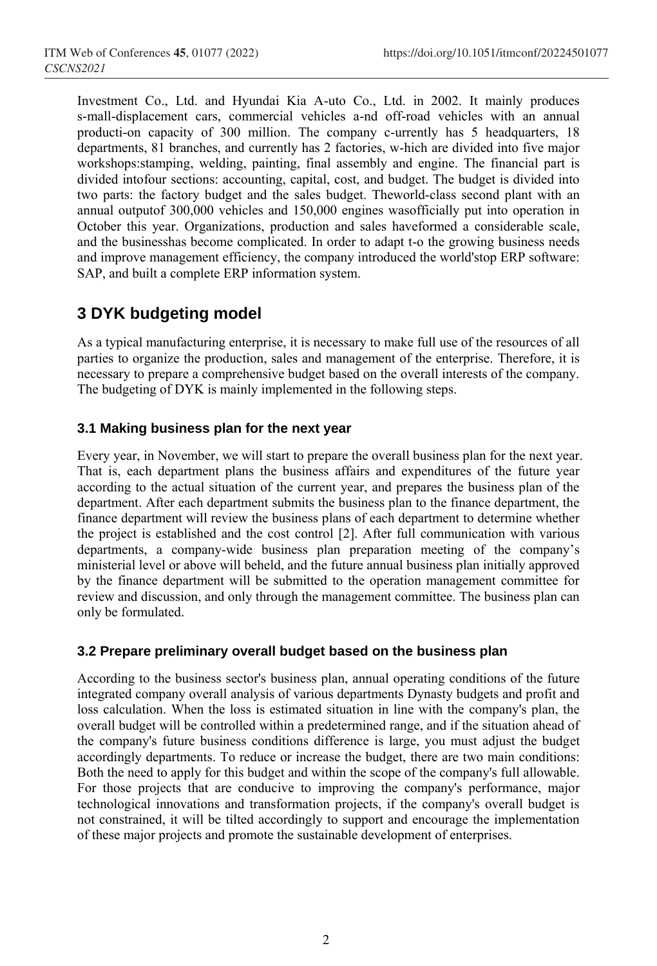Investment Co., Ltd. and Hyundai Kia A-uto Co., Ltd. in 2002. It mainly produces s-mall-displacement cars, commercial vehicles a-nd off-road vehicles with an annual producti-on capacity of 300 million. The company c-urrently has 5 headquarters, 18 departments, 81 branches, and currently has 2 factories, w-hich are divided into five major workshops:stamping, welding, painting, final assembly and engine. The financial part is divided intofour sections: accounting, capital, cost, and budget. The budget is divided into two parts: the factory budget and the sales budget. Theworld-class second plant with an annual outputof 300,000 vehicles and 150,000 engines wasofficially put into operation in October this year. Organizations, production and sales haveformed a considerable scale, and the businesshas become complicated. In order to adapt t-o the growing business needs and improve management efficiency, the company introduced the world'stop ERP software: SAP, and built a complete ERP information system.

# **3 DYK budgeting model**

As a typical manufacturing enterprise, it is necessary to make full use of the resources of all parties to organize the production, sales and management of the enterprise. Therefore, it is necessary to prepare a comprehensive budget based on the overall interests of the company. The budgeting of DYK is mainly implemented in the following steps.

# **3.1 Making business plan for the next year**

Every year, in November, we will start to prepare the overall business plan for the next year. That is, each department plans the business affairs and expenditures of the future year according to the actual situation of the current year, and prepares the business plan of the department. After each department submits the business plan to the finance department, the finance department will review the business plans of each department to determine whether the project is established and the cost control [2]. After full communication with various departments, a company-wide business plan preparation meeting of the company's ministerial level or above will beheld, and the future annual business plan initially approved by the finance department will be submitted to the operation management committee for review and discussion, and only through the management committee. The business plan can only be formulated.

### **3.2 Prepare preliminary overall budget based on the business plan**

According to the business sector's business plan, annual operating conditions of the future integrated company overall analysis of various departments Dynasty budgets and profit and loss calculation. When the loss is estimated situation in line with the company's plan, the overall budget will be controlled within a predetermined range, and if the situation ahead of the company's future business conditions difference is large, you must adjust the budget accordingly departments. To reduce or increase the budget, there are two main conditions: Both the need to apply for this budget and within the scope of the company's full allowable. For those projects that are conducive to improving the company's performance, major technological innovations and transformation projects, if the company's overall budget is not constrained, it will be tilted accordingly to support and encourage the implementation of these major projects and promote the sustainable development of enterprises.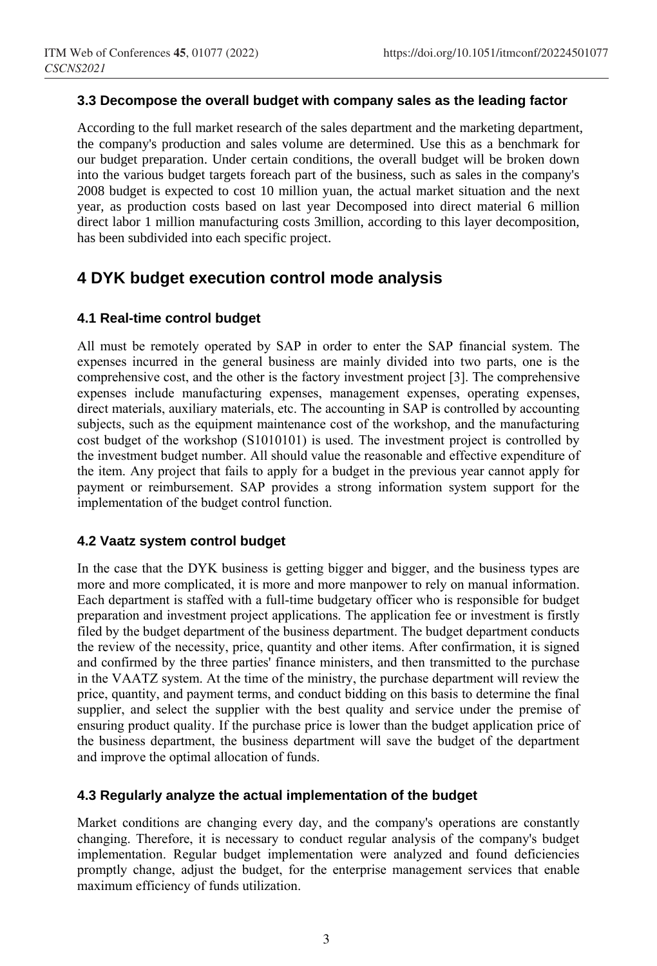### **3.3 Decompose the overall budget with company sales as the leading factor**

According to the full market research of the sales department and the marketing department, the company's production and sales volume are determined. Use this as a benchmark for our budget preparation. Under certain conditions, the overall budget will be broken down into the various budget targets foreach part of the business, such as sales in the company's 2008 budget is expected to cost 10 million yuan, the actual market situation and the next year, as production costs based on last year Decomposed into direct material 6 million direct labor 1 million manufacturing costs 3million, according to this layer decomposition, has been subdivided into each specific project.

# **4 DYK budget execution control mode analysis**

### **4.1 Real-time control budget**

All must be remotely operated by SAP in order to enter the SAP financial system. The expenses incurred in the general business are mainly divided into two parts, one is the comprehensive cost, and the other is the factory investment project [3]. The comprehensive expenses include manufacturing expenses, management expenses, operating expenses, direct materials, auxiliary materials, etc. The accounting in SAP is controlled by accounting subjects, such as the equipment maintenance cost of the workshop, and the manufacturing cost budget of the workshop (S1010101) is used. The investment project is controlled by the investment budget number. All should value the reasonable and effective expenditure of the item. Any project that fails to apply for a budget in the previous year cannot apply for payment or reimbursement. SAP provides a strong information system support for the implementation of the budget control function.

#### **4.2 Vaatz system control budget**

In the case that the DYK business is getting bigger and bigger, and the business types are more and more complicated, it is more and more manpower to rely on manual information. Each department is staffed with a full-time budgetary officer who is responsible for budget preparation and investment project applications. The application fee or investment is firstly filed by the budget department of the business department. The budget department conducts the review of the necessity, price, quantity and other items. After confirmation, it is signed and confirmed by the three parties' finance ministers, and then transmitted to the purchase in the VAATZ system. At the time of the ministry, the purchase department will review the price, quantity, and payment terms, and conduct bidding on this basis to determine the final supplier, and select the supplier with the best quality and service under the premise of ensuring product quality. If the purchase price is lower than the budget application price of the business department, the business department will save the budget of the department and improve the optimal allocation of funds.

### **4.3 Regularly analyze the actual implementation of the budget**

Market conditions are changing every day, and the company's operations are constantly changing. Therefore, it is necessary to conduct regular analysis of the company's budget implementation. Regular budget implementation were analyzed and found deficiencies promptly change, adjust the budget, for the enterprise management services that enable maximum efficiency of funds utilization.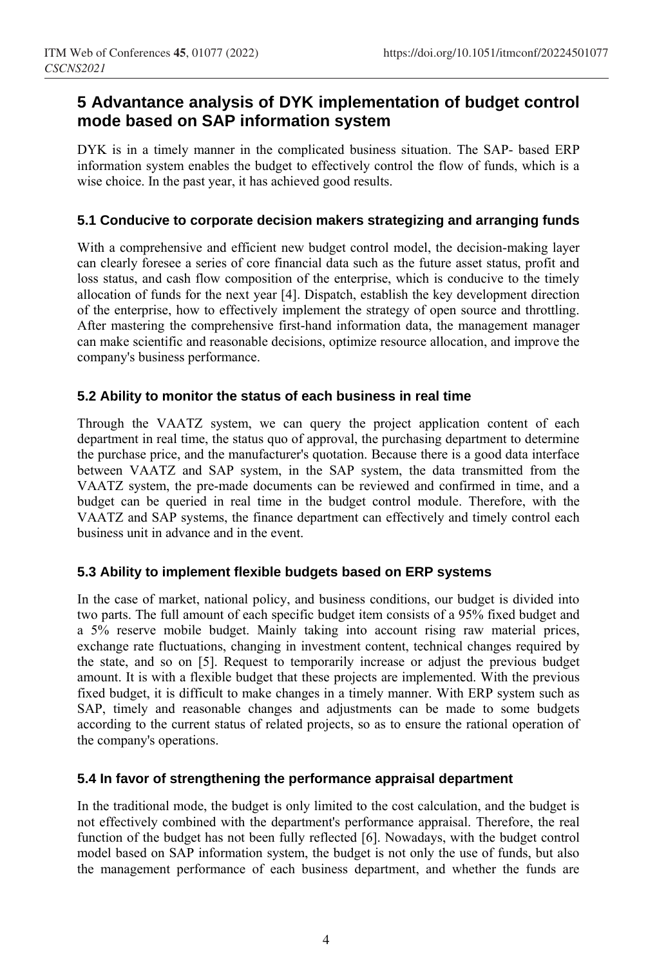# **5 Advantance analysis of DYK implementation of budget control mode based on SAP information system**

DYK is in a timely manner in the complicated business situation. The SAP- based ERP information system enables the budget to effectively control the flow of funds, which is a wise choice. In the past year, it has achieved good results.

# **5.1 Conducive to corporate decision makers strategizing and arranging funds**

With a comprehensive and efficient new budget control model, the decision-making layer can clearly foresee a series of core financial data such as the future asset status, profit and loss status, and cash flow composition of the enterprise, which is conducive to the timely allocation of funds for the next year [4]. Dispatch, establish the key development direction of the enterprise, how to effectively implement the strategy of open source and throttling. After mastering the comprehensive first-hand information data, the management manager can make scientific and reasonable decisions, optimize resource allocation, and improve the company's business performance.

# **5.2 Ability to monitor the status of each business in real time**

Through the VAATZ system, we can query the project application content of each department in real time, the status quo of approval, the purchasing department to determine the purchase price, and the manufacturer's quotation. Because there is a good data interface between VAATZ and SAP system, in the SAP system, the data transmitted from the VAATZ system, the pre-made documents can be reviewed and confirmed in time, and a budget can be queried in real time in the budget control module. Therefore, with the VAATZ and SAP systems, the finance department can effectively and timely control each business unit in advance and in the event.

### **5.3 Ability to implement flexible budgets based on ERP systems**

In the case of market, national policy, and business conditions, our budget is divided into two parts. The full amount of each specific budget item consists of a 95% fixed budget and a 5% reserve mobile budget. Mainly taking into account rising raw material prices, exchange rate fluctuations, changing in investment content, technical changes required by the state, and so on [5]. Request to temporarily increase or adjust the previous budget amount. It is with a flexible budget that these projects are implemented. With the previous fixed budget, it is difficult to make changes in a timely manner. With ERP system such as SAP, timely and reasonable changes and adjustments can be made to some budgets according to the current status of related projects, so as to ensure the rational operation of the company's operations.

### **5.4 In favor of strengthening the performance appraisal department**

In the traditional mode, the budget is only limited to the cost calculation, and the budget is not effectively combined with the department's performance appraisal. Therefore, the real function of the budget has not been fully reflected [6]. Nowadays, with the budget control model based on SAP information system, the budget is not only the use of funds, but also the management performance of each business department, and whether the funds are